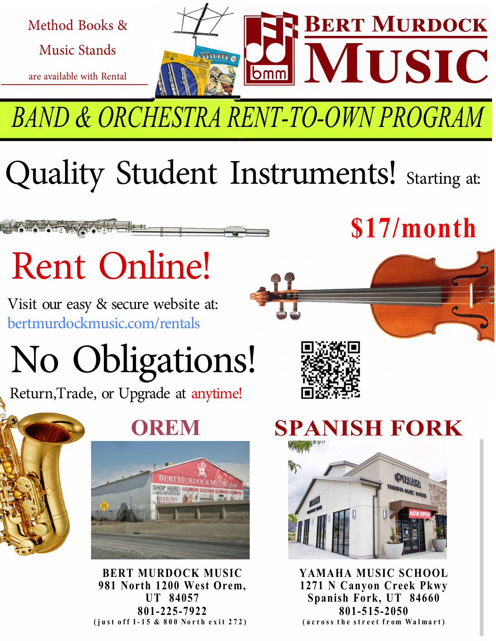

*BAND & ORCHESTRA RENT-TO-OWN PROGRAM*

## Quality Student Instruments! Starting at:

# Rent Online!

Visit our easy & secure website at: bertmurdockmusic.com/rentals

# [No Obligations!](https://www.bertmurdockmusic.com/categories/Rent-By-Instrument-3505.html)

Return,Trade, or Upgrade at anytime!



**OREM**



**BERT MURDOCK MUSIC 981 North 1200 West Orem, UT 84057 801-225-7922**  $(iust off I-15 & 800 North exit 272)$ 

## **\$17/month**



#### **SPANISH FORK**



**YAMAHA MUSIC SCHOOL 1271 N Canyon Creek Pkwy Spanish Fork, UT 84660 801-515-2050** (across the street from Walmart)